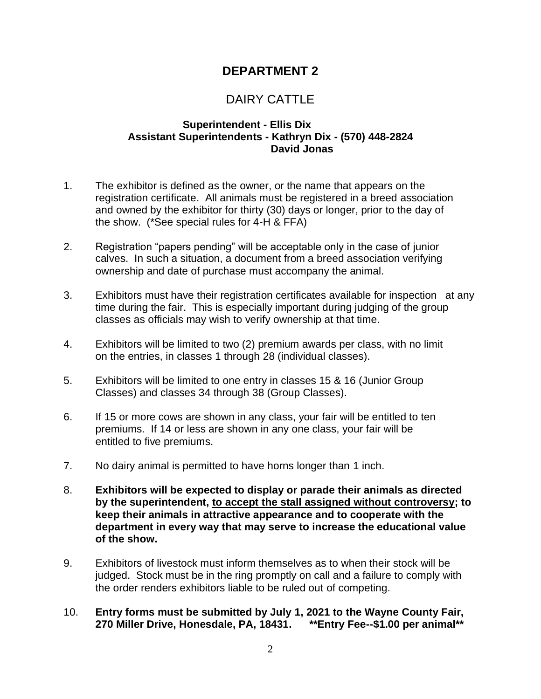# **DEPARTMENT 2**

# DAIRY CATTLE

#### **Superintendent - Ellis Dix Assistant Superintendents - Kathryn Dix - (570) 448-2824 David Jonas**

- 1. The exhibitor is defined as the owner, or the name that appears on the registration certificate. All animals must be registered in a breed association and owned by the exhibitor for thirty (30) days or longer, prior to the day of the show. (\*See special rules for 4-H & FFA)
- 2. Registration "papers pending" will be acceptable only in the case of junior calves. In such a situation, a document from a breed association verifying ownership and date of purchase must accompany the animal.
- 3. Exhibitors must have their registration certificates available for inspection at any time during the fair. This is especially important during judging of the group classes as officials may wish to verify ownership at that time.
- 4. Exhibitors will be limited to two (2) premium awards per class, with no limit on the entries, in classes 1 through 28 (individual classes).
- 5. Exhibitors will be limited to one entry in classes 15 & 16 (Junior Group Classes) and classes 34 through 38 (Group Classes).
- 6. If 15 or more cows are shown in any class, your fair will be entitled to ten premiums. If 14 or less are shown in any one class, your fair will be entitled to five premiums.
- 7. No dairy animal is permitted to have horns longer than 1 inch.
- 8. **Exhibitors will be expected to display or parade their animals as directed by the superintendent, to accept the stall assigned without controversy; to keep their animals in attractive appearance and to cooperate with the department in every way that may serve to increase the educational value of the show.**
- 9. Exhibitors of livestock must inform themselves as to when their stock will be judged. Stock must be in the ring promptly on call and a failure to comply with the order renders exhibitors liable to be ruled out of competing.
- 10. **Entry forms must be submitted by July 1, 2021 to the Wayne County Fair, 270 Miller Drive, Honesdale, PA, 18431. \*\*Entry Fee--\$1.00 per animal\*\***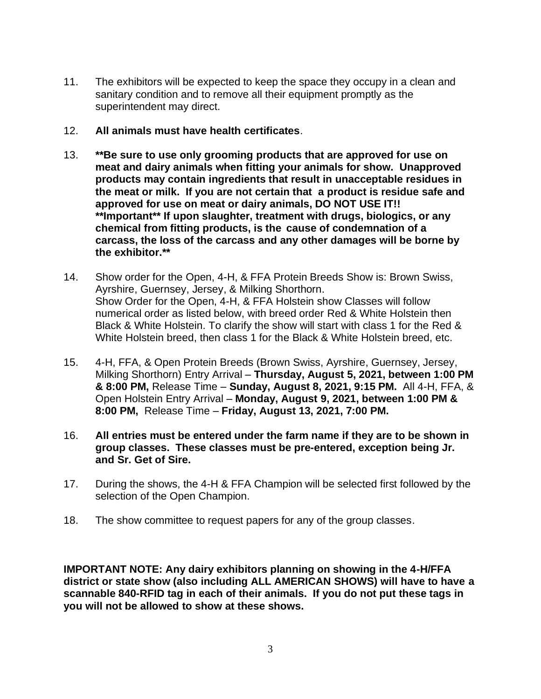- 11. The exhibitors will be expected to keep the space they occupy in a clean and sanitary condition and to remove all their equipment promptly as the superintendent may direct.
- 12. **All animals must have health certificates**.
- 13. **\*\*Be sure to use only grooming products that are approved for use on meat and dairy animals when fitting your animals for show. Unapproved products may contain ingredients that result in unacceptable residues in the meat or milk. If you are not certain that a product is residue safe and approved for use on meat or dairy animals, DO NOT USE IT!! \*\*Important\*\* If upon slaughter, treatment with drugs, biologics, or any chemical from fitting products, is the cause of condemnation of a carcass, the loss of the carcass and any other damages will be borne by the exhibitor.\*\***
- 14. Show order for the Open, 4-H, & FFA Protein Breeds Show is: Brown Swiss, Ayrshire, Guernsey, Jersey, & Milking Shorthorn. Show Order for the Open, 4-H, & FFA Holstein show Classes will follow numerical order as listed below, with breed order Red & White Holstein then Black & White Holstein. To clarify the show will start with class 1 for the Red & White Holstein breed, then class 1 for the Black & White Holstein breed, etc.
- 15. 4-H, FFA, & Open Protein Breeds (Brown Swiss, Ayrshire, Guernsey, Jersey, Milking Shorthorn) Entry Arrival – **Thursday, August 5, 2021, between 1:00 PM & 8:00 PM,** Release Time – **Sunday, August 8, 2021, 9:15 PM.** All 4-H, FFA, & Open Holstein Entry Arrival – **Monday, August 9, 2021, between 1:00 PM & 8:00 PM,** Release Time – **Friday, August 13, 2021, 7:00 PM.**
- 16. **All entries must be entered under the farm name if they are to be shown in group classes. These classes must be pre-entered, exception being Jr. and Sr. Get of Sire.**
- 17. During the shows, the 4-H & FFA Champion will be selected first followed by the selection of the Open Champion.
- 18. The show committee to request papers for any of the group classes.

**IMPORTANT NOTE: Any dairy exhibitors planning on showing in the 4-H/FFA district or state show (also including ALL AMERICAN SHOWS) will have to have a scannable 840-RFID tag in each of their animals. If you do not put these tags in you will not be allowed to show at these shows.**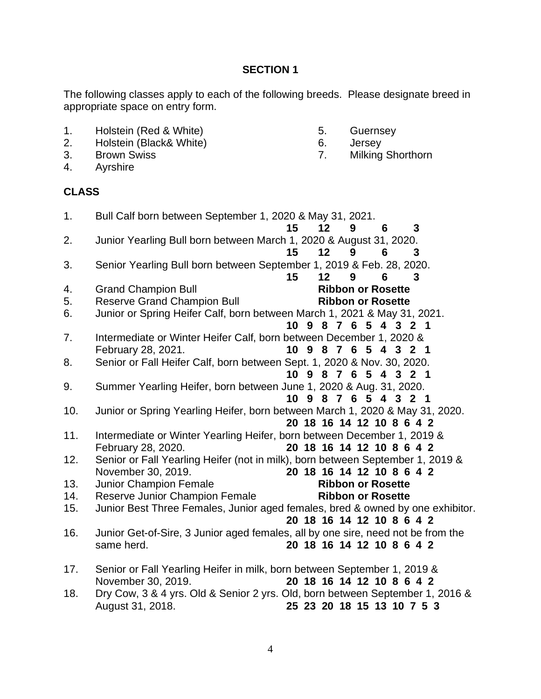### **SECTION 1**

The following classes apply to each of the following breeds. Please designate breed in appropriate space on entry form.

- 1. Holstein (Red & White) 5. Guernsey
- 2. Holstein (Black& White) 6. Jersey
- 3. Brown Swiss 7. Milking Shorthorn
- 4. Ayrshire

### **CLASS**

- 1. Bull Calf born between September 1, 2020 & May 31, 2021. **15 12 9 6 3** 2. Junior Yearling Bull born between March 1, 2020 & August 31, 2020. **15 12 9 6 3** 3. Senior Yearling Bull born between September 1, 2019 & Feb. 28, 2020. **15 12 9 6 3** 4. Grand Champion Bull **Ribbon or Rosette** 5. Reserve Grand Champion Bull **Ribbon or Rosette** 6. Junior or Spring Heifer Calf, born between March 1, 2021 & May 31, 2021. **10 9 8 7 6 5 4 3 2 1**  7. Intermediate or Winter Heifer Calf, born between December 1, 2020 & February 28, 2021. **10 9 8 7 6 5 4 3 2 1** 8. Senior or Fall Heifer Calf, born between Sept. 1, 2020 & Nov. 30, 2020. **10 9 8 7 6 5 4 3 2 1**  9. Summer Yearling Heifer, born between June 1, 2020 & Aug. 31, 2020. **10 9 8 7 6 5 4 3 2 1**  10. Junior or Spring Yearling Heifer, born between March 1, 2020 & May 31, 2020. **20 18 16 14 12 10 8 6 4 2**  11. Intermediate or Winter Yearling Heifer, born between December 1, 2019 & February 28, 2020. **20 18 16 14 12 10 8 6 4 2**  12. Senior or Fall Yearling Heifer (not in milk), born between September 1, 2019 & November 30, 2019. **20 18 16 14 12 10 8 6 4 2** 13. Junior Champion Female **Ribbon or Rosette** 14. Reserve Junior Champion Female **Ribbon or Rosette** 15. Junior Best Three Females, Junior aged females, bred & owned by one exhibitor. **20 18 16 14 12 10 8 6 4 2** 16. Junior Get-of-Sire, 3 Junior aged females, all by one sire, need not be from the same herd. **20 18 16 14 12 10 8 6 4 2** 17. Senior or Fall Yearling Heifer in milk, born between September 1, 2019 & November 30, 2019. **20 18 16 14 12 10 8 6 4 2** 18. Dry Cow, 3 & 4 yrs. Old & Senior 2 yrs. Old, born between September 1, 2016 & August 31, 2018. **25 23 20 18 15 13 10 7 5 3** 
	- 4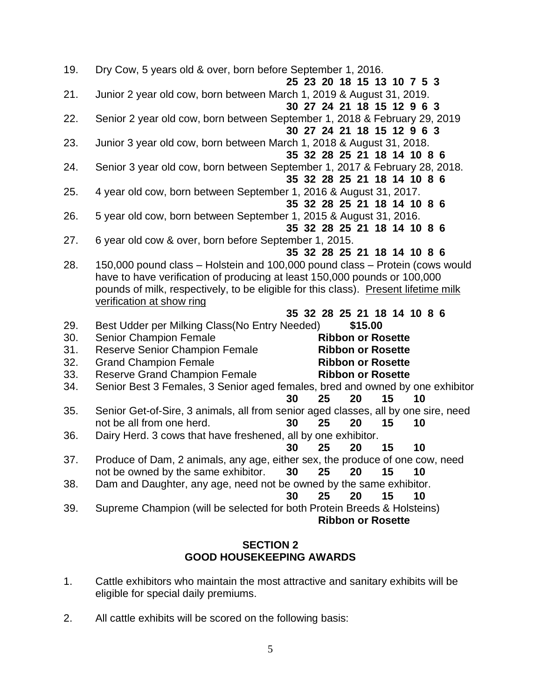| 19.        | Dry Cow, 5 years old & over, born before September 1, 2016.<br>25 23 20 18 15 13 10 7 5 3                                                                                                                                                                                     |
|------------|-------------------------------------------------------------------------------------------------------------------------------------------------------------------------------------------------------------------------------------------------------------------------------|
| 21.        | Junior 2 year old cow, born between March 1, 2019 & August 31, 2019.<br>30 27 24 21 18 15 12 9 6 3                                                                                                                                                                            |
| 22.        | Senior 2 year old cow, born between September 1, 2018 & February 29, 2019<br>30 27 24 21 18 15 12 9 6 3                                                                                                                                                                       |
| 23.        | Junior 3 year old cow, born between March 1, 2018 & August 31, 2018.<br>35 32 28 25 21 18 14 10 8 6                                                                                                                                                                           |
| 24.        | Senior 3 year old cow, born between September 1, 2017 & February 28, 2018.<br>35 32 28 25 21 18 14 10 8 6                                                                                                                                                                     |
| 25.        | 4 year old cow, born between September 1, 2016 & August 31, 2017.<br>35 32 28 25 21 18 14 10 8 6                                                                                                                                                                              |
| 26.        | 5 year old cow, born between September 1, 2015 & August 31, 2016.<br>35 32 28 25 21 18 14 10 8 6                                                                                                                                                                              |
| 27.        | 6 year old cow & over, born before September 1, 2015.<br>35 32 28 25 21 18 14 10 8 6                                                                                                                                                                                          |
| 28.        | 150,000 pound class - Holstein and 100,000 pound class - Protein (cows would<br>have to have verification of producing at least 150,000 pounds or 100,000<br>pounds of milk, respectively, to be eligible for this class). Present lifetime milk<br>verification at show ring |
|            | 35 32 28 25 21 18 14 10 8 6                                                                                                                                                                                                                                                   |
| 29.        | Best Udder per Milking Class (No Entry Needed)<br>\$15.00                                                                                                                                                                                                                     |
| 30.<br>31. | <b>Senior Champion Female</b><br><b>Ribbon or Rosette</b>                                                                                                                                                                                                                     |
|            |                                                                                                                                                                                                                                                                               |
|            | <b>Reserve Senior Champion Female</b><br><b>Ribbon or Rosette</b>                                                                                                                                                                                                             |
| 32.        | <b>Grand Champion Female</b><br><b>Ribbon or Rosette</b>                                                                                                                                                                                                                      |
| 33.        | <b>Reserve Grand Champion Female</b><br><b>Ribbon or Rosette</b>                                                                                                                                                                                                              |
| 34.        | Senior Best 3 Females, 3 Senior aged females, bred and owned by one exhibitor                                                                                                                                                                                                 |
|            | 30<br>20<br>15<br>25<br>10                                                                                                                                                                                                                                                    |
| 35.        | Senior Get-of-Sire, 3 animals, all from senior aged classes, all by one sire, need                                                                                                                                                                                            |
|            | not be all from one herd.<br>30<br>25<br>20<br>10<br>15                                                                                                                                                                                                                       |
| 36.        | Dairy Herd. 3 cows that have freshened, all by one exhibitor.                                                                                                                                                                                                                 |
|            | 25<br>20<br>15<br>10<br>30                                                                                                                                                                                                                                                    |
| 37.        | Produce of Dam, 2 animals, any age, either sex, the produce of one cow, need<br>30<br>25<br>20<br>15<br>10                                                                                                                                                                    |
| 38.        | not be owned by the same exhibitor.                                                                                                                                                                                                                                           |
|            | Dam and Daughter, any age, need not be owned by the same exhibitor.<br>10<br>30<br>25<br>20<br>15                                                                                                                                                                             |
| 39.        | Supreme Champion (will be selected for both Protein Breeds & Holsteins)                                                                                                                                                                                                       |

## **SECTION 2 GOOD HOUSEKEEPING AWARDS**

- 1. Cattle exhibitors who maintain the most attractive and sanitary exhibits will be eligible for special daily premiums.
- 2. All cattle exhibits will be scored on the following basis: